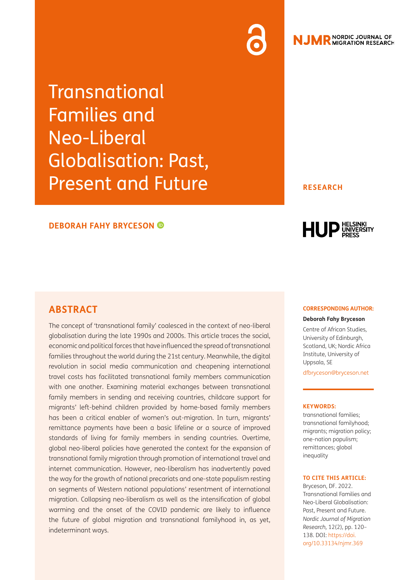# **NJMR** NORDIC JOURNAL OF

**Transnational** Families and Neo-Liberal Globalisation: Past, Present and Future

#### **DEBORAH FAHY BRYCESON**

#### **RESEARCH**



#### **ABSTRACT**

The concept of 'transnational family' coalesced in the context of neo-liberal globalisation during the late 1990s and 2000s. This article traces the social, economic and political forces that have influenced the spread of transnational families throughout the world during the 21st century. Meanwhile, the digital revolution in social media communication and cheapening international travel costs has facilitated transnational family members communication with one another. Examining material exchanges between transnational family members in sending and receiving countries, childcare support for migrants' left-behind children provided by home-based family members has been a critical enabler of women's out-migration. In turn, migrants' remittance payments have been a basic lifeline or a source of improved standards of living for family members in sending countries. Overtime, global neo-liberal policies have generated the context for the expansion of transnational family migration through promotion of international travel and internet communication. However, neo-liberalism has inadvertently paved the way for the growth of national precariats and one-state populism resting on segments of Western national populations' resentment of international migration. Collapsing neo-liberalism as well as the intensification of global warming and the onset of the COVID pandemic are likely to influence the future of global migration and transnational familyhood in, as yet, indeterminant ways.

#### **CORRESPONDING AUTHOR:**

#### **Deborah Fahy Bryceson**

Centre of African Studies, University of Edinburgh, Scotland, UK; Nordic Africa Institute, University of Uppsala, SE

[dfbryceson@bryceson.net](mailto:dfbryceson@bryceson.net)

#### **KEYWORDS:**

transnational families; transnational familyhood; migrants; migration policy; one-nation populism; remittances; global inequality

#### **TO CITE THIS ARTICLE:**

Bryceson, DF. 2022. Transnational Families and Neo-Liberal Globalisation: Past, Present and Future. *Nordic Journal of Migration Research,* 12(2), pp. 120– 138. DOI: [https://doi.](https://doi.org/10.33134/njmr.369) [org/10.33134/njmr.369](https://doi.org/10.33134/njmr.369)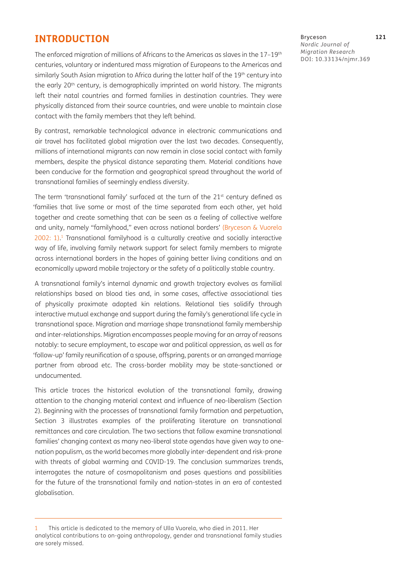#### **INTRODUCTION**

The enforced migration of millions of Africans to the Americas as slaves in the 17-19<sup>th</sup> centuries, voluntary or indentured mass migration of Europeans to the Americas and similarly South Asian migration to Africa during the latter half of the 19<sup>th</sup> century into the early 20<sup>th</sup> century, is demographically imprinted on world history. The migrants left their natal countries and formed families in destination countries. They were physically distanced from their source countries, and were unable to maintain close contact with the family members that they left behind.

By contrast, remarkable technological advance in electronic communications and air travel has facilitated global migration over the last two decades. Consequently, millions of international migrants can now remain in close social contact with family members, despite the physical distance separating them. Material conditions have been conducive for the formation and geographical spread throughout the world of transnational families of seemingly endless diversity.

The term 'transnational family' surfaced at the turn of the 21<sup>st</sup> century defined as 'families that live some or most of the time separated from each other, yet hold together and create something that can be seen as a feeling of collective welfare and unity, namely "familyhood," even across national borders' ([Bryceson & Vuorela](#page-15-0)  [2002](#page-15-0): 1). 1 Transnational familyhood is a culturally creative and socially interactive way of life, involving family network support for select family members to migrate across international borders in the hopes of gaining better living conditions and an economically upward mobile trajectory or the safety of a politically stable country.

A transnational family's internal dynamic and growth trajectory evolves as familial relationships based on blood ties and, in some cases, affective associational ties of physically proximate adopted kin relations. Relational ties solidify through interactive mutual exchange and support during the family's generational life cycle in transnational space. Migration and marriage shape transnational family membership and inter-relationships. Migration encompasses people moving for an array of reasons notably: to secure employment, to escape war and political oppression, as well as for 'follow-up' family reunification of a spouse, offspring, parents or an arranged marriage partner from abroad etc. The cross-border mobility may be state-sanctioned or undocumented.

This article traces the historical evolution of the transnational family, drawing attention to the changing material context and influence of neo-liberalism (Section 2). Beginning with the processes of transnational family formation and perpetuation, Section 3 illustrates examples of the proliferating literature on transnational remittances and care circulation. The two sections that follow examine transnational families' changing context as many neo-liberal state agendas have given way to onenation populism, as the world becomes more globally inter-dependent and risk-prone with threats of global warming and COVID-19. The conclusion summarizes trends, interrogates the nature of cosmopolitanism and poses questions and possibilities for the future of the transnational family and nation-states in an era of contested globalisation.

Bryceson **121** *Nordic Journal of Migration Research* DOI: [10.33134/njmr.369](https://doi.org/10.33134/njmr.369)

<sup>1</sup> This article is dedicated to the memory of Ulla Vuorela, who died in 2011. Her analytical contributions to on-going anthropology, gender and transnational family studies are sorely missed.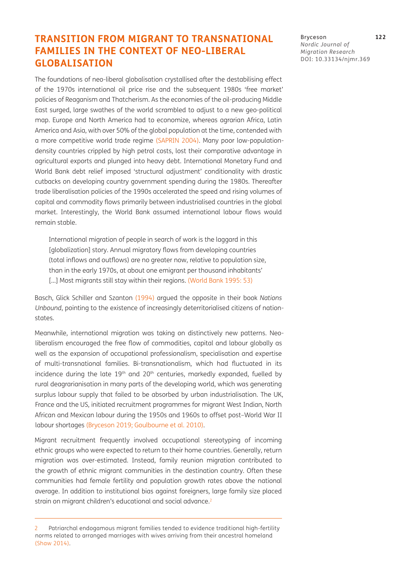### **TRANSITION FROM MIGRANT TO TRANSNATIONAL FAMILIES IN THE CONTEXT OF NEO-LIBERAL GLOBALISATION**

The foundations of neo-liberal globalisation crystallised after the destabilising effect of the 1970s international oil price rise and the subsequent 1980s 'free market' policies of Reaganism and Thatcherism. As the economies of the oil-producing Middle East surged, large swathes of the world scrambled to adjust to a new geo-political map. Europe and North America had to economize, whereas agrarian Africa, Latin America and Asia, with over 50% of the global population at the time, contended with a more competitive world trade regime [\(SAPRIN 2004\)](#page-17-0). Many poor low-populationdensity countries crippled by high petrol costs, lost their comparative advantage in agricultural exports and plunged into heavy debt. International Monetary Fund and World Bank debt relief imposed 'structural adjustment' conditionality with drastic cutbacks on developing country government spending during the 1980s. Thereafter trade liberalisation policies of the 1990s accelerated the speed and rising volumes of capital and commodity flows primarily between industrialised countries in the global market. Interestingly, the World Bank assumed international labour flows would remain stable.

International migration of people in search of work is the laggard in this [globalization] story. Annual migratory flows from developing countries (total inflows and outflows) are no greater now, relative to population size, than in the early 1970s, at about one emigrant per thousand inhabitants' [...] Most migrants still stay within their regions. (World Bank 1995: 53)

Basch, Glick Schiller and Szanton ([1994](#page-15-1)) argued the opposite in their book *Nations Unbound*, pointing to the existence of increasingly deterritorialised citizens of nationstates.

Meanwhile, international migration was taking on distinctively new patterns. Neoliberalism encouraged the free flow of commodities, capital and labour globally as well as the expansion of occupational professionalism, specialisation and expertise of multi-transnational families. Bi-transnationalism, which had fluctuated in its incidence during the late 19<sup>th</sup> and 20<sup>th</sup> centuries, markedly expanded, fuelled by rural deagrarianisation in many parts of the developing world, which was generating surplus labour supply that failed to be absorbed by urban industrialisation. The UK, France and the US, initiated recruitment programmes for migrant West Indian, North African and Mexican labour during the 1950s and 1960s to offset post–World War II labour shortages [\(Bryceson 2019;](#page-15-2) [Goulbourne et al. 2010](#page-16-0)).

Migrant recruitment frequently involved occupational stereotyping of incoming ethnic groups who were expected to return to their home countries. Generally, return migration was over-estimated. Instead, family reunion migration contributed to the growth of ethnic migrant communities in the destination country. Often these communities had female fertility and population growth rates above the national average. In addition to institutional bias against foreigners, large family size placed strain on migrant children's educational and social advance.<sup>2</sup>

Bryceson **122** *Nordic Journal of Migration Research* DOI: [10.33134/njmr.369](https://doi.org/10.33134/njmr.369)

<sup>2</sup> Patriarchal endogamous migrant families tended to evidence traditional high-fertility norms related to arranged marriages with wives arriving from their ancestral homeland [\(Shaw 2014](#page-17-1)).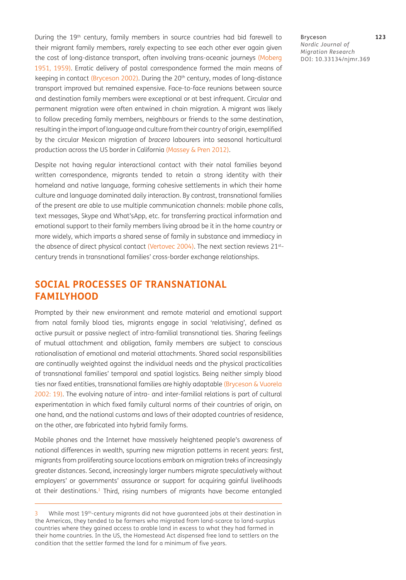During the 19<sup>th</sup> century, family members in source countries had bid farewell to their migrant family members, rarely expecting to see each other ever again given the cost of long-distance transport, often involving trans-oceanic journeys [\(Moberg](#page-16-1)  [1951,](#page-16-1) [1959](#page-16-2)). Erratic delivery of postal correspondence formed the main means of keeping in contact (Bryceson 2002). During the 20<sup>th</sup> century, modes of long-distance transport improved but remained expensive. Face-to-face reunions between source and destination family members were exceptional or at best infrequent. Circular and permanent migration were often entwined in chain migration. A migrant was likely to follow preceding family members, neighbours or friends to the same destination, resulting in the import of language and culture from their country of origin, exemplified by the circular Mexican migration of *bracero* labourers into seasonal horticultural production across the US border in California ([Massey & Pren 2012](#page-16-3)).

Despite not having regular interactional contact with their natal families beyond written correspondence, migrants tended to retain a strong identity with their homeland and native language, forming cohesive settlements in which their home culture and language dominated daily interaction. By contrast, transnational families of the present are able to use multiple communication channels: mobile phone calls, text messages, Skype and What'sApp, etc. for transferring practical information and emotional support to their family members living abroad be it in the home country or more widely, which imparts a shared sense of family in substance and immediacy in the absence of direct physical contact (Vertovec 2004). The next section reviews 21stcentury trends in transnational families' cross-border exchange relationships.

## **SOCIAL PROCESSES OF TRANSNATIONAL FAMILYHOOD**

Prompted by their new environment and remote material and emotional support from natal family blood ties, migrants engage in social 'relativising', defined as active pursuit or passive neglect of intra-familial transnational ties. Sharing feelings of mutual attachment and obligation, family members are subject to conscious rationalisation of emotional and material attachments. Shared social responsibilities are continually weighted against the individual needs and the physical practicalities of transnational families' temporal and spatial logistics. Being neither simply blood ties nor fixed entities, transnational families are highly adaptable [\(Bryceson & Vuorela](#page-15-0) [2002](#page-15-0): 19). The evolving nature of intra- and inter-familial relations is part of cultural experimentation in which fixed family cultural norms of their countries of origin, on one hand, and the national customs and laws of their adopted countries of residence, on the other, are fabricated into hybrid family forms.

Mobile phones and the Internet have massively heightened people's awareness of national differences in wealth, spurring new migration patterns in recent years: first, migrants from proliferating source locations embark on migration treks of increasingly greater distances. Second, increasingly larger numbers migrate speculatively without employers' or governments' assurance or support for acquiring gainful livelihoods at their destinations.<sup>3</sup> Third, rising numbers of migrants have become entangled

Bryceson **123** *Nordic Journal of Migration Research* DOI: [10.33134/njmr.369](https://doi.org/10.33134/njmr.369)

While most 19<sup>th</sup>-century migrants did not have guaranteed jobs at their destination in the Americas, they tended to be farmers who migrated from land-scarce to land-surplus countries where they gained access to arable land in excess to what they had farmed in their home countries. In the US, the Homestead Act dispensed free land to settlers on the condition that the settler farmed the land for a minimum of five years.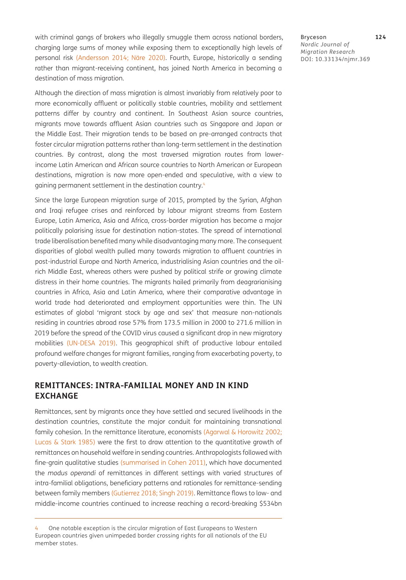with criminal gangs of brokers who illegally smuggle them across national borders, charging large sums of money while exposing them to exceptionally high levels of personal risk ([Andersson 2014](#page-14-0); Näre 2020). Fourth, Europe, historically a sending rather than migrant-receiving continent, has joined North America in becoming a destination of mass migration.

Although the direction of mass migration is almost invariably from relatively poor to more economically affluent or politically stable countries, mobility and settlement patterns differ by country and continent. In Southeast Asian source countries, migrants move towards affluent Asian countries such as Singapore and Japan or the Middle East. Their migration tends to be based on pre-arranged contracts that foster circular migration patterns rather than long-term settlement in the destination countries. By contrast, along the most traversed migration routes from lowerincome Latin American and African source countries to North American or European destinations, migration is now more open-ended and speculative, with a view to gaining permanent settlement in the destination country.<sup>4</sup>

Since the large European migration surge of 2015, prompted by the Syrian, Afghan and Iraqi refugee crises and reinforced by labour migrant streams from Eastern Europe, Latin America, Asia and Africa, cross-border migration has become a major politically polarising issue for destination nation-states. The spread of international trade liberalisation benefited many while disadvantaging many more. The consequent disparities of global wealth pulled many towards migration to affluent countries in post-industrial Europe and North America, industrialising Asian countries and the oilrich Middle East, whereas others were pushed by political strife or growing climate distress in their home countries. The migrants hailed primarily from deagrarianising countries in Africa, Asia and Latin America, where their comparative advantage in world trade had deteriorated and employment opportunities were thin. The UN estimates of global 'migrant stock by age and sex' that measure non-nationals residing in countries abroad rose 57% from 173.5 million in 2000 to 271.6 million in 2019 before the spread of the COVID virus caused a significant drop in new migratory mobilities (UN-DESA 2019). This geographical shift of productive labour entailed profound welfare changes for migrant families, ranging from exacerbating poverty, to poverty-alleviation, to wealth creation.

#### **REMITTANCES: INTRA-FAMILIAL MONEY AND IN KIND EXCHANGE**

Remittances, sent by migrants once they have settled and secured livelihoods in the destination countries, constitute the major conduit for maintaining transnational family cohesion. In the remittance literature, economists [\(Agarwal & Horowitz 2002;](#page-14-1) [Lucas & Stark 1985\)](#page-16-4) were the first to draw attention to the quantitative growth of remittances on household welfare in sending countries. Anthropologists followed with fine-grain qualitative studies (summarised in [Cohen 2011\)](#page-15-3), which have documented the *modus operandi* of remittances in different settings with varied structures of intra-familial obligations, beneficiary patterns and rationales for remittance-sending between family members ([Gutierrez 2018;](#page-16-5) [Singh 2019](#page-17-2)). Remittance flows to low- and middle-income countries continued to increase reaching a record-breaking \$534bn

Bryceson **124** *Nordic Journal of Migration Research* DOI: [10.33134/njmr.369](https://doi.org/10.33134/njmr.369)

<sup>4</sup> One notable exception is the circular migration of East Europeans to Western European countries given unimpeded border crossing rights for all nationals of the EU member states.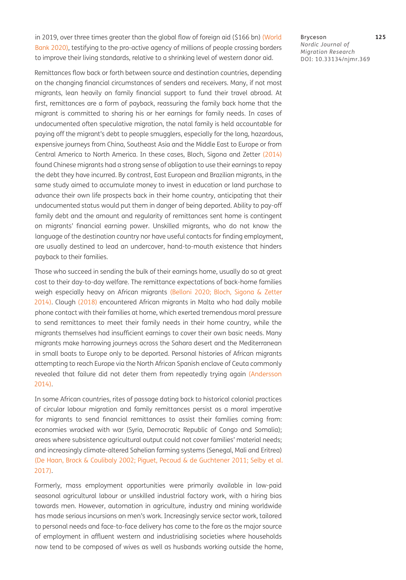in 2019, over three times greater than the global flow of foreign aid (\$166 bn) (World Bank 2020), testifying to the pro-active agency of millions of people crossing borders to improve their living standards, relative to a shrinking level of western donor aid.

Remittances flow back or forth between source and destination countries, depending on the changing financial circumstances of senders and receivers. Many, if not most migrants, lean heavily on family financial support to fund their travel abroad. At first, remittances are a form of payback, reassuring the family back home that the migrant is committed to sharing his or her earnings for family needs. In cases of undocumented often speculative migration, the natal family is held accountable for paying off the migrant's debt to people smugglers, especially for the long, hazardous, expensive journeys from China, Southeast Asia and the Middle East to Europe or from Central America to North America. In these cases, Bloch, Sigona and Zetter ([2014](#page-15-4)) found Chinese migrants had a strong sense of obligation to use their earnings to repay the debt they have incurred. By contrast, East European and Brazilian migrants, in the same study aimed to accumulate money to invest in education or land purchase to advance their own life prospects back in their home country, anticipating that their undocumented status would put them in danger of being deported. Ability to pay-off family debt and the amount and regularity of remittances sent home is contingent on migrants' financial earning power. Unskilled migrants, who do not know the language of the destination country nor have useful contacts for finding employment, are usually destined to lead an undercover, hand-to-mouth existence that hinders payback to their families.

Those who succeed in sending the bulk of their earnings home, usually do so at great cost to their day-to-day welfare. The remittance expectations of back-home families weigh especially heavy on African migrants ([Belloni 2020](#page-15-5); [Bloch, Sigona & Zetter](#page-15-4) [2014](#page-15-4)). Clough ([2018](#page-15-6)) encountered African migrants in Malta who had daily mobile phone contact with their families at home, which exerted tremendous moral pressure to send remittances to meet their family needs in their home country, while the migrants themselves had insufficient earnings to cover their own basic needs. Many migrants make harrowing journeys across the Sahara desert and the Mediterranean in small boats to Europe only to be deported. Personal histories of African migrants attempting to reach Europe via the North African Spanish enclave of Ceuta commonly revealed that failure did not deter them from repeatedly trying again ([Andersson](#page-14-0)  [2014](#page-14-0)).

In some African countries, rites of passage dating back to historical colonial practices of circular labour migration and family remittances persist as a moral imperative for migrants to send financial remittances to assist their families coming from: economies wracked with war (Syria, Democratic Republic of Congo and Somalia); areas where subsistence agricultural output could not cover families' material needs; and increasingly climate-altered Sahelian farming systems (Senegal, Mali and Eritrea) [\(De Haan, Brock & Coulibaly 2002;](#page-15-7) [Piguet, Pecoud & de Guchtener 2011;](#page-17-3) Selby et al. 2017).

Formerly, mass employment opportunities were primarily available in low-paid seasonal agricultural labour or unskilled industrial factory work, with a hiring bias towards men. However, automation in agriculture, industry and mining worldwide has made serious incursions on men's work. Increasingly service sector work, tailored to personal needs and face-to-face delivery has come to the fore as the major source of employment in affluent western and industrialising societies where households now tend to be composed of wives as well as husbands working outside the home, Bryceson **125** *Nordic Journal of Migration Research* DOI: [10.33134/njmr.369](https://doi.org/10.33134/njmr.369)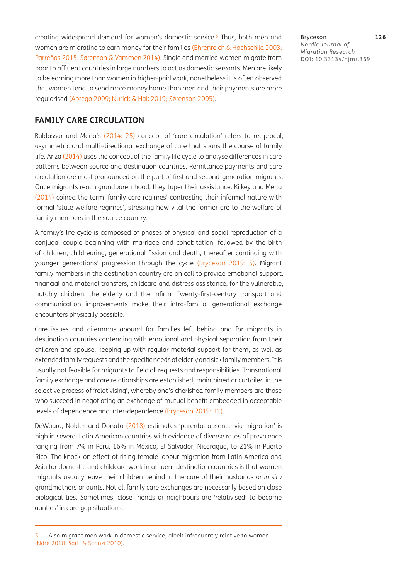creating widespread demand for women's domestic service.<sup>5</sup> Thus, both men and women are migrating to earn money for their families [\(Ehrenreich & Hochschild 2003;](#page-16-6) Parreñas 2015; Sørenson & Vammen 2014). Single and married women migrate from poor to affluent countries in large numbers to act as domestic servants. Men are likely to be earning more than women in higher-paid work, nonetheless it is often observed that women tend to send more money home than men and their payments are more regularised [\(Abrego 2009](#page-14-2); [Nurick & Hak 2019;](#page-17-4) Sørenson 2005).

Bryceson **126** *Nordic Journal of Migration Research* DOI: [10.33134/njmr.369](https://doi.org/10.33134/njmr.369)

#### **FAMILY CARE CIRCULATION**

Baldassar and Merla's ([2014:](#page-15-8) 25) concept of 'care circulation' refers to reciprocal, asymmetric and multi-directional exchange of care that spans the course of family life. Ariza [\(2014\)](#page-14-3) uses the concept of the family life cycle to analyse differences in care patterns between source and destination countries. Remittance payments and care circulation are most pronounced on the part of first and second-generation migrants. Once migrants reach grandparenthood, they taper their assistance. Kilkey and Merla (2014) coined the term 'family care regimes' contrasting their informal nature with formal 'state welfare regimes', stressing how vital the former are to the welfare of family members in the source country.

A family's life cycle is composed of phases of physical and social reproduction of a conjugal couple beginning with marriage and cohabitation, followed by the birth of children, childrearing, generational fission and death, thereafter continuing with younger generations' progression through the cycle ([Bryceson 2019](#page-15-2): 5). Migrant family members in the destination country are on call to provide emotional support, financial and material transfers, childcare and distress assistance, for the vulnerable, notably children, the elderly and the infirm. Twenty-first-century transport and communication improvements make their intra-familial generational exchange encounters physically possible.

Care issues and dilemmas abound for families left behind and for migrants in destination countries contending with emotional and physical separation from their children and spouse, keeping up with regular material support for them, as well as extended family requests and the specific needs of elderly and sick family members. It is usually not feasible for migrants to field all requests and responsibilities. Transnational family exchange and care relationships are established, maintained or curtailed in the selective process of 'relativising', whereby one's cherished family members are those who succeed in negotiating an exchange of mutual benefit embedded in acceptable levels of dependence and inter-dependence [\(Bryceson 2019:](#page-15-2) 11).

DeWaard, Nobles and Donato ([2018](#page-16-7)) estimates 'parental absence via migration' is high in several Latin American countries with evidence of diverse rates of prevalence ranging from 7% in Peru, 16% in Mexico, El Salvador, Nicaragua, to 21% in Puerto Rico. The knock-on effect of rising female labour migration from Latin America and Asia for domestic and childcare work in affluent destination countries is that women migrants usually leave their children behind in the care of their husbands or *in situ*  grandmothers or aunts. Not all family care exchanges are necessarily based on close biological ties. Sometimes, close friends or neighbours are 'relativised' to become 'aunties' in care gap situations.

Also migrant men work in domestic service, albeit infrequently relative to women (Näre 2010; Sarti & Scrinzi 2010).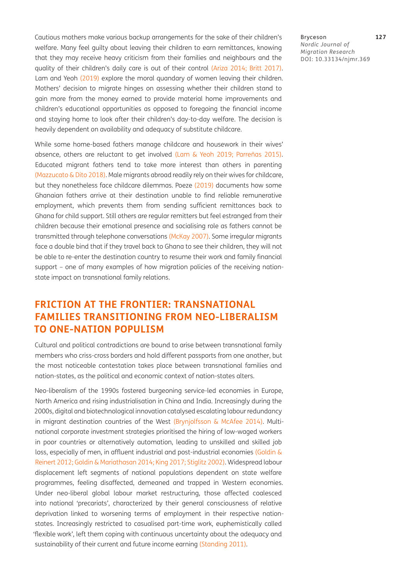Cautious mothers make various backup arrangements for the sake of their children's welfare. Many feel guilty about leaving their children to earn remittances, knowing that they may receive heavy criticism from their families and neighbours and the quality of their children's daily care is out of their control ([Ariza 2014](#page-14-3); [Britt 2017\)](#page-15-9). Lam and Yeoh [\(2019\)](#page-16-8) explore the moral quandary of women leaving their children. Mothers' decision to migrate hinges on assessing whether their children stand to gain more from the money earned to provide material home improvements and children's educational opportunities as opposed to foregoing the financial income and staying home to look after their children's day-to-day welfare. The decision is heavily dependent on availability and adequacy of substitute childcare.

While some home-based fathers manage childcare and housework in their wives' absence, others are reluctant to get involved ([Lam & Yeoh 2019;](#page-16-8) Parreñas 2015). Educated migrant fathers tend to take more interest than others in parenting [\(Mazzucato & Dito 2018](#page-16-9)). Male migrants abroad readily rely on their wives for childcare, but they nonetheless face childcare dilemmas. Poeze [\(2019\)](#page-17-5) documents how some Ghanaian fathers arrive at their destination unable to find reliable remunerative employment, which prevents them from sending sufficient remittances back to Ghana for child support. Still others are regular remitters but feel estranged from their children because their emotional presence and socialising role as fathers cannot be transmitted through telephone conversations (McKay 2007). Some irregular migrants face a double bind that if they travel back to Ghana to see their children, they will not be able to re-enter the destination country to resume their work and family financial support – one of many examples of how migration policies of the receiving nationstate impact on transnational family relations.

### **FRICTION AT THE FRONTIER: TRANSNATIONAL FAMILIES TRANSITIONING FROM NEO-LIBERALISM TO ONE-NATION POPULISM**

Cultural and political contradictions are bound to arise between transnational family members who criss-cross borders and hold different passports from one another, but the most noticeable contestation takes place between transnational families and nation-states, as the political and economic context of nation-states alters.

Neo-liberalism of the 1990s fostered burgeoning service-led economies in Europe, North America and rising industrialisation in China and India. Increasingly during the 2000s, digital and biotechnological innovation catalysed escalating labour redundancy in migrant destination countries of the West ([Brynjolfsson & McAfee 2014\)](#page-15-10). Multinational corporate investment strategies prioritised the hiring of low-waged workers in poor countries or alternatively automation, leading to unskilled and skilled job loss, especially of men, in affluent industrial and post-industrial economies ([Goldin &](#page-16-10)  [Reinert 2012;](#page-16-10) [Goldin & Mariathasan 2014;](#page-16-11) [King 2017;](#page-16-12) [Stiglitz 2002](#page-18-0)). Widespread labour displacement left segments of national populations dependent on state welfare programmes, feeling disaffected, demeaned and trapped in Western economies. Under neo-liberal global labour market restructuring, those affected coalesced into national 'precariats', characterized by their general consciousness of relative deprivation linked to worsening terms of employment in their respective nationstates. Increasingly restricted to casualised part-time work, euphemistically called 'flexible work', left them coping with continuous uncertainty about the adequacy and sustainability of their current and future income earning [\(Standing 2011](#page-17-6)).

Bryceson **127** *Nordic Journal of Migration Research* DOI: [10.33134/njmr.369](https://doi.org/10.33134/njmr.369)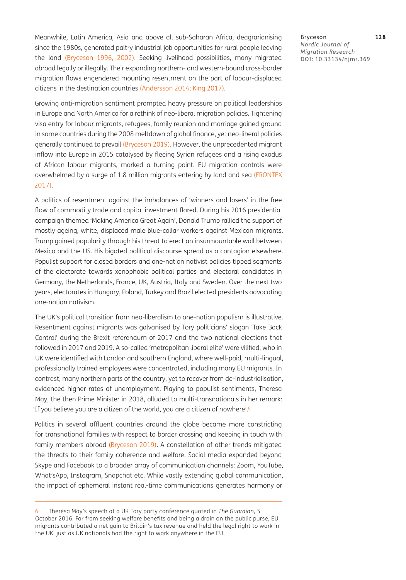Meanwhile, Latin America, Asia and above all sub-Saharan Africa, deagrarianising since the 1980s, generated paltry industrial job opportunities for rural people leaving the land ([Bryceson 1996,](#page-15-11) 2002). Seeking livelihood possibilities, many migrated abroad legally or illegally. Their expanding northern- and western-bound cross-border migration flows engendered mounting resentment on the part of labour-displaced citizens in the destination countries ([Andersson 2014;](#page-14-0) [King 2017](#page-16-12)).

Growing anti-migration sentiment prompted heavy pressure on political leaderships in Europe and North America for a rethink of neo-liberal migration policies. Tightening visa entry for labour migrants, refugees, family reunion and marriage gained ground in some countries during the 2008 meltdown of global finance, yet neo-liberal policies generally continued to prevail ([Bryceson 2019](#page-15-2)). However, the unprecedented migrant inflow into Europe in 2015 catalysed by fleeing Syrian refugees and a rising exodus of African labour migrants, marked a turning point. EU migration controls were overwhelmed by a surge of 1.8 million migrants entering by land and sea (FRONTEX [2017](#page-16-13)).

A politics of resentment against the imbalances of 'winners and losers' in the free flow of commodity trade and capital investment flared. During his 2016 presidential campaign themed 'Making America Great Again', Donald Trump rallied the support of mostly ageing, white, displaced male blue-collar workers against Mexican migrants. Trump gained popularity through his threat to erect an insurmountable wall between Mexico and the US. His bigoted political discourse spread as a contagion elsewhere. Populist support for closed borders and one-nation nativist policies tipped segments of the electorate towards xenophobic political parties and electoral candidates in Germany, the Netherlands, France, UK, Austria, Italy and Sweden. Over the next two years, electorates in Hungary, Poland, Turkey and Brazil elected presidents advocating one-nation nativism.

The UK's political transition from neo-liberalism to one-nation populism is illustrative. Resentment against migrants was galvanised by Tory politicians' slogan 'Take Back Control' during the Brexit referendum of 2017 and the two national elections that followed in 2017 and 2019. A so-called 'metropolitan liberal elite' were vilified, who in UK were identified with London and southern England, where well-paid, multi-lingual, professionally trained employees were concentrated, including many EU migrants. In contrast, many northern parts of the country, yet to recover from de-industrialisation, evidenced higher rates of unemployment. Playing to populist sentiments, Theresa May, the then Prime Minister in 2018, alluded to multi-transnationals in her remark: 'If you believe you are a citizen of the world, you are a citizen of nowhere'.6

Politics in several affluent countries around the globe became more constricting for transnational families with respect to border crossing and keeping in touch with family members abroad ([Bryceson 2019\)](#page-15-2). A constellation of other trends mitigated the threats to their family coherence and welfare. Social media expanded beyond Skype and Facebook to a broader array of communication channels: Zoom, YouTube, What'sApp, Instagram, Snapchat etc. While vastly extending global communication, the impact of ephemeral instant real-time communications generates harmony or

Bryceson **128** *Nordic Journal of Migration Research* DOI: [10.33134/njmr.369](https://doi.org/10.33134/njmr.369)

<sup>6</sup> Theresa May's speech at a UK Tory party conference quoted in *The Guardian*, 5 October 2016. Far from seeking welfare benefits and being a drain on the public purse, EU migrants contributed a net gain to Britain's tax revenue and held the legal right to work in the UK, just as UK nationals had the right to work anywhere in the EU.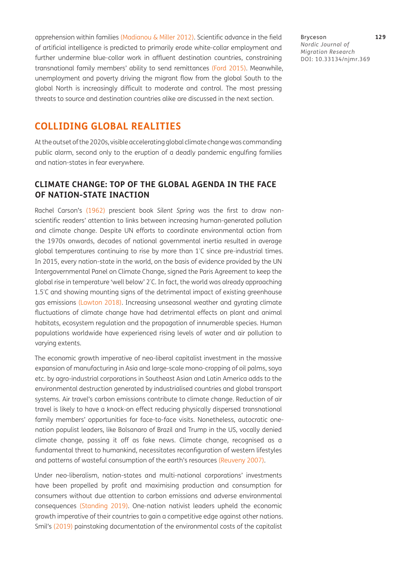apprehension within families [\(Madianou & Miller 2012](#page-16-14)). Scientific advance in the field of artificial intelligence is predicted to primarily erode white-collar employment and further undermine blue-collar work in affluent destination countries, constraining transnational family members' ability to send remittances ([Ford 2015](#page-16-15)). Meanwhile, unemployment and poverty driving the migrant flow from the global South to the global North is increasingly difficult to moderate and control. The most pressing threats to source and destination countries alike are discussed in the next section.

Bryceson **129** *Nordic Journal of Migration Research* DOI: [10.33134/njmr.369](https://doi.org/10.33134/njmr.369)

### **COLLIDING GLOBAL REALITIES**

At the outset of the 2020s, visible accelerating global climate change was commanding public alarm, second only to the eruption of a deadly pandemic engulfing families and nation-states in fear everywhere.

#### **CLIMATE CHANGE: TOP OF THE GLOBAL AGENDA IN THE FACE OF NATION-STATE INACTION**

Rachel Carson's ([1962](#page-15-12)) prescient book *Silent Spring* was the first to draw nonscientific readers' attention to links between increasing human-generated pollution and climate change. Despite UN efforts to coordinate environmental action from the 1970s onwards, decades of national governmental inertia resulted in average global temperatures continuing to rise by more than 1° C since pre-industrial times. In 2015, every nation-state in the world, on the basis of evidence provided by the UN Intergovernmental Panel on Climate Change, signed the Paris Agreement to keep the global rise in temperature 'well below' 2° C. In fact, the world was already approaching 1.5° C and showing mounting signs of the detrimental impact of existing greenhouse gas emissions (Lawton 2018). Increasing unseasonal weather and gyrating climate fluctuations of climate change have had detrimental effects on plant and animal habitats, ecosystem regulation and the propagation of innumerable species. Human populations worldwide have experienced rising levels of water and air pollution to varying extents.

The economic growth imperative of neo-liberal capitalist investment in the massive expansion of manufacturing in Asia and large-scale mono-cropping of oil palms, soya etc. by agro-industrial corporations in Southeast Asian and Latin America adds to the environmental destruction generated by industrialised countries and global transport systems. Air travel's carbon emissions contribute to climate change. Reduction of air travel is likely to have a knock-on effect reducing physically dispersed transnational family members' opportunities for face-to-face visits. Nonetheless, autocratic onenation populist leaders, like Bolsanaro of Brazil and Trump in the US, vocally denied climate change, passing it off as fake news. Climate change, recognised as a fundamental threat to humankind, necessitates reconfiguration of western lifestyles and patterns of wasteful consumption of the earth's resources ([Reuveny 2007](#page-17-7)).

Under neo-liberalism, nation-states and multi-national corporations' investments have been propelled by profit and maximising production and consumption for consumers without due attention to carbon emissions and adverse environmental consequences [\(Standing 2019\)](#page-17-8). One-nation nativist leaders upheld the economic growth imperative of their countries to gain a competitive edge against other nations. Smil's [\(2019](#page-17-9)) painstaking documentation of the environmental costs of the capitalist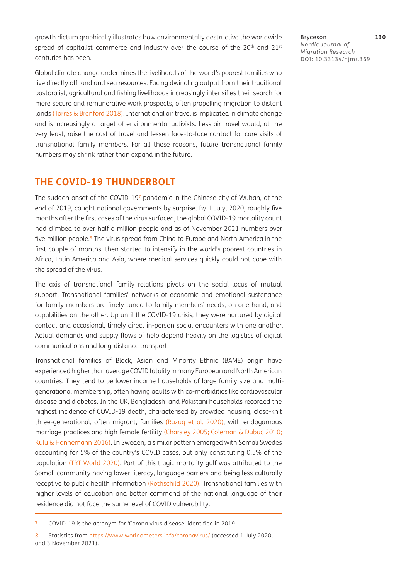growth dictum graphically illustrates how environmentally destructive the worldwide spread of capitalist commerce and industry over the course of the  $20<sup>th</sup>$  and  $21<sup>st</sup>$ centuries has been.

Global climate change undermines the livelihoods of the world's poorest families who live directly off land and sea resources. Facing dwindling output from their traditional pastoralist, agricultural and fishing livelihoods increasingly intensifies their search for more secure and remunerative work prospects, often propelling migration to distant lands (Torres & Branford 2018). International air travel is implicated in climate change and is increasingly a target of environmental activists. Less air travel would, at the very least, raise the cost of travel and lessen face-to-face contact for care visits of transnational family members. For all these reasons, future transnational family numbers may shrink rather than expand in the future.

### **THE COVID-19 THUNDERBOLT**

The sudden onset of the COVID-197 pandemic in the Chinese city of Wuhan, at the end of 2019, caught national governments by surprise. By 1 July, 2020, roughly five months after the first cases of the virus surfaced, the global COVID-19 mortality count had climbed to over half a million people and as of November 2021 numbers over five million people.<sup>8</sup> The virus spread from China to Europe and North America in the first couple of months, then started to intensify in the world's poorest countries in Africa, Latin America and Asia, where medical services quickly could not cope with the spread of the virus.

The axis of transnational family relations pivots on the social locus of mutual support. Transnational families' networks of economic and emotional sustenance for family members are finely tuned to family members' needs, on one hand, and capabilities on the other. Up until the COVID-19 crisis, they were nurtured by digital contact and occasional, timely direct in-person social encounters with one another. Actual demands and supply flows of help depend heavily on the logistics of digital communications and long-distance transport.

Transnational families of Black, Asian and Minority Ethnic (BAME) origin have experienced higher than average COVID fatality in many European and North American countries. They tend to be lower income households of large family size and multigenerational membership, often having adults with co-morbidities like cardiovascular disease and diabetes. In the UK, Bangladeshi and Pakistani households recorded the highest incidence of COVID-19 death, characterised by crowded housing, close-knit three-generational, often migrant, families [\(Razaq et al. 2020\)](#page-17-10), with endogamous marriage practices and high female fertility [\(Charsley 2005;](#page-15-13) Coleman & Dubuc 2010; [Kulu & Hannemann 2016\)](#page-16-16). In Sweden, a similar pattern emerged with Somali Swedes accounting for 5% of the country's COVID cases, but only constituting 0.5% of the population (TRT World 2020). Part of this tragic mortality gulf was attributed to the Somali community having lower literacy, language barriers and being less culturally receptive to public health information (Rothschild 2020). Transnational families with higher levels of education and better command of the national language of their residence did not face the same level of COVID vulnerability.

Bryceson **130** *Nordic Journal of Migration Research* DOI: [10.33134/njmr.369](https://doi.org/10.33134/njmr.369)

<sup>7</sup> COVID-19 is the acronym for 'Corona virus disease' identified in 2019.

<sup>8</sup> Statistics from<https://www.worldometers.info/coronavirus/>(accessed 1 July 2020, and 3 November 2021).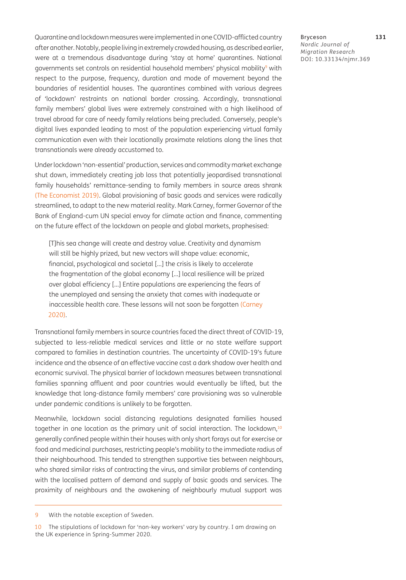Quarantine and lockdown measures were implemented in one COVID-afflicted country after another. Notably, people living in extremely crowded housing, as described earlier, were at a tremendous disadvantage during 'stay at home' quarantines. National governments set controls on residential household members' physical mobility<sup>9</sup> with respect to the purpose, frequency, duration and mode of movement beyond the boundaries of residential houses. The quarantines combined with various degrees of 'lockdown' restraints on national border crossing. Accordingly, transnational family members' global lives were extremely constrained with a high likelihood of travel abroad for care of needy family relations being precluded. Conversely, people's digital lives expanded leading to most of the population experiencing virtual family communication even with their locationally proximate relations along the lines that transnationals were already accustomed to.

Under lockdown 'non-essential' production, services and commodity market exchange shut down, immediately creating job loss that potentially jeopardised transnational family households' remittance-sending to family members in source areas shrank (The Economist 2019). Global provisioning of basic goods and services were radically streamlined, to adapt to the new material reality. Mark Carney, former Governor of the Bank of England-cum UN special envoy for climate action and finance, commenting on the future effect of the lockdown on people and global markets, prophesised:

[T]his sea change will create and destroy value. Creativity and dynamism will still be highly prized, but new vectors will shape value: economic, financial, psychological and societal […] the crisis is likely to accelerate the fragmentation of the global economy […] local resilience will be prized over global efficiency […] Entire populations are experiencing the fears of the unemployed and sensing the anxiety that comes with inadequate or inaccessible health care. These lessons will not soon be forgotten ([Carney](#page-15-14)  [2020](#page-15-14)).

Transnational family members in source countries faced the direct threat of COVID-19, subjected to less-reliable medical services and little or no state welfare support compared to families in destination countries. The uncertainty of COVID-19's future incidence and the absence of an effective vaccine cast a dark shadow over health and economic survival. The physical barrier of lockdown measures between transnational families spanning affluent and poor countries would eventually be lifted, but the knowledge that long-distance family members' care provisioning was so vulnerable under pandemic conditions is unlikely to be forgotten.

Meanwhile, lockdown social distancing regulations designated families housed together in one location as the primary unit of social interaction. The lockdown,<sup>10</sup> generally confined people within their houses with only short forays out for exercise or food and medicinal purchases, restricting people's mobility to the immediate radius of their neighbourhood. This tended to strengthen supportive ties between neighbours, who shared similar risks of contracting the virus, and similar problems of contending with the localised pattern of demand and supply of basic goods and services. The proximity of neighbours and the awakening of neighbourly mutual support was

<sup>9</sup> With the notable exception of Sweden.

<sup>10</sup> The stipulations of lockdown for 'non-key workers' vary by country. I am drawing on the UK experience in Spring-Summer 2020.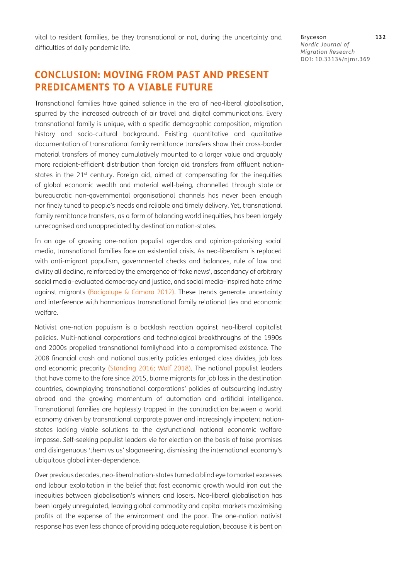vital to resident families, be they transnational or not, during the uncertainty and difficulties of daily pandemic life.

### **CONCLUSION: MOVING FROM PAST AND PRESENT PREDICAMENTS TO A VIABLE FUTURE**

Transnational families have gained salience in the era of neo-liberal globalisation, spurred by the increased outreach of air travel and digital communications. Every transnational family is unique, with a specific demographic composition, migration history and socio-cultural background. Existing quantitative and qualitative documentation of transnational family remittance transfers show their cross-border material transfers of money cumulatively mounted to a larger value and arguably more recipient-efficient distribution than foreign aid transfers from affluent nationstates in the 21<sup>st</sup> century. Foreign aid, aimed at compensating for the inequities of global economic wealth and material well-being, channelled through state or bureaucratic non-governmental organisational channels has never been enough nor finely tuned to people's needs and reliable and timely delivery. Yet, transnational family remittance transfers, as a form of balancing world inequities, has been largely unrecognised and unappreciated by destination nation-states.

In an age of growing one-nation populist agendas and opinion-polarising social media, transnational families face an existential crisis. As neo-liberalism is replaced with anti-migrant populism, governmental checks and balances, rule of law and civility all decline, reinforced by the emergence of 'fake news', ascendancy of arbitrary social media–evaluated democracy and justice, and social media–inspired hate crime against migrants (Bacigalupe & Cámara 2012). These trends generate uncertainty and interference with harmonious transnational family relational ties and economic welfare.

Nativist one-nation populism is a backlash reaction against neo-liberal capitalist policies. Multi-national corporations and technological breakthroughs of the 1990s and 2000s propelled transnational familyhood into a compromised existence. The 2008 financial crash and national austerity policies enlarged class divides, job loss and economic precarity ([Standing 2016;](#page-17-11) Wolf 2018). The national populist leaders that have come to the fore since 2015, blame migrants for job loss in the destination countries, downplaying transnational corporations' policies of outsourcing industry abroad and the growing momentum of automation and artificial intelligence. Transnational families are haplessly trapped in the contradiction between a world economy driven by transnational corporate power and increasingly impotent nationstates lacking viable solutions to the dysfunctional national economic welfare impasse. Self-seeking populist leaders vie for election on the basis of false promises and disingenuous 'them vs us' sloganeering, dismissing the international economy's ubiquitous global inter-dependence.

Over previous decades, neo-liberal nation-states turned a blind eye to market excesses and labour exploitation in the belief that fast economic growth would iron out the inequities between globalisation's winners and losers. Neo-liberal globalisation has been largely unregulated, leaving global commodity and capital markets maximising profits at the expense of the environment and the poor. The one-nation nativist response has even less chance of providing adequate regulation, because it is bent on Bryceson **132** *Nordic Journal of Migration Research* DOI: [10.33134/njmr.369](https://doi.org/10.33134/njmr.369)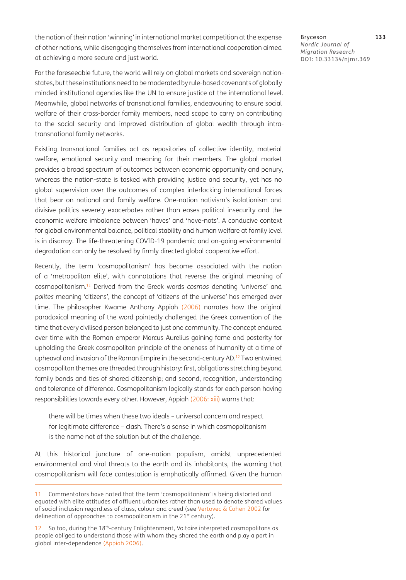the notion of their nation 'winning' in international market competition at the expense of other nations, while disengaging themselves from international cooperation aimed at achieving a more secure and just world.

For the foreseeable future, the world will rely on global markets and sovereign nationstates, but these institutions need to be moderated by rule-based covenants of globally minded institutional agencies like the UN to ensure justice at the international level. Meanwhile, global networks of transnational families, endeavouring to ensure social

welfare of their cross-border family members, need scope to carry on contributing to the social security and improved distribution of global wealth through intratransnational family networks.

Existing transnational families act as repositories of collective identity, material welfare, emotional security and meaning for their members. The global market provides a broad spectrum of outcomes between economic opportunity and penury, whereas the nation-state is tasked with providing justice and security, yet has no global supervision over the outcomes of complex interlocking international forces that bear on national and family welfare. One-nation nativism's isolationism and divisive politics severely exacerbates rather than eases political insecurity and the economic welfare imbalance between 'haves' and 'have-nots'. A conducive context for global environmental balance, political stability and human welfare at family level is in disarray. The life-threatening COVID-19 pandemic and on-going environmental degradation can only be resolved by firmly directed global cooperative effort.

Recently, the term 'cosmopolitanism' has become associated with the notion of a 'metropolitan elite', with connotations that reverse the original meaning of cosmopolitanism.11 Derived from the Greek words *cosmos* denoting 'universe' and *polites* meaning 'citizens', the concept of 'citizens of the universe' has emerged over time. The philosopher Kwame Anthony Appiah [\(2006\)](#page-14-4) narrates how the original paradoxical meaning of the word pointedly challenged the Greek convention of the time that every civilised person belonged to just one community. The concept endured over time with the Roman emperor Marcus Aurelius gaining fame and posterity for upholding the Greek cosmopolitan principle of the oneness of humanity at a time of upheaval and invasion of the Roman Empire in the second-century AD.<sup>12</sup> Two entwined cosmopolitan themes are threaded through history: first, obligations stretching beyond family bonds and ties of shared citizenship; and second, recognition, understanding and tolerance of difference. Cosmopolitanism logically stands for each person having responsibilities towards every other. However, Appiah [\(2006:](#page-14-4) xiii) warns that:

there will be times when these two ideals – universal concern and respect for legitimate difference – clash. There's a sense in which cosmopolitanism is the name not of the solution but of the challenge.

At this historical juncture of one-nation populism, amidst unprecedented environmental and viral threats to the earth and its inhabitants, the warning that cosmopolitanism will face contestation is emphatically affirmed. Given the human Bryceson **133** *Nordic Journal of Migration Research* DOI: [10.33134/njmr.369](https://doi.org/10.33134/njmr.369)

<sup>11</sup> Commentators have noted that the term 'cosmopolitanism' is being distorted and equated with elite attitudes of affluent urbanites rather than used to denote shared values of social inclusion regardless of class, colour and creed (see Vertovec & Cohen 2002 for delineation of approaches to cosmopolitanism in the 21<sup>st</sup> century).

<sup>12</sup> So too, during the 18th-century Enlightenment, Voltaire interpreted cosmopolitans as people obliged to understand those with whom they shared the earth and play a part in global inter-dependence ([Appiah 2006\)](#page-14-4).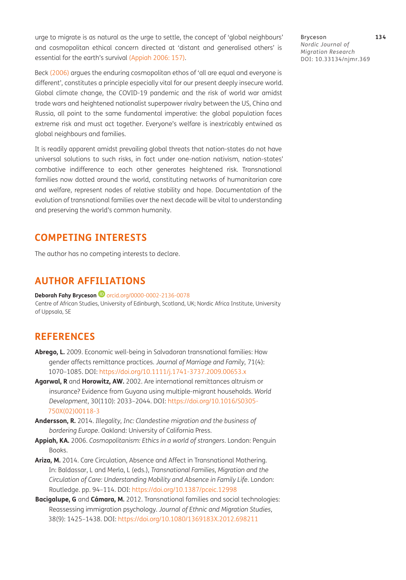urge to migrate is as natural as the urge to settle, the concept of 'global neighbours' and cosmopolitan ethical concern directed at 'distant and generalised others' is essential for the earth's survival [\(Appiah 2006:](#page-14-4) 157).

Beck ([2006\)](#page-15-15) argues the enduring cosmopolitan ethos of 'all are equal and everyone is different', constitutes a principle especially vital for our present deeply insecure world. Global climate change, the COVID-19 pandemic and the risk of world war amidst trade wars and heightened nationalist superpower rivalry between the US, China and Russia, all point to the same fundamental imperative: the global population faces extreme risk and must act together. Everyone's welfare is inextricably entwined as global neighbours and families.

It is readily apparent amidst prevailing global threats that nation-states do not have universal solutions to such risks, in fact under one-nation nativism, nation-states' combative indifference to each other generates heightened risk. Transnational families now dotted around the world, constituting networks of humanitarian care and welfare, represent nodes of relative stability and hope. Documentation of the evolution of transnational families over the next decade will be vital to understanding and preserving the world's common humanity.

#### **COMPETING INTERESTS**

The author has no competing interests to declare.

### **AUTHOR AFFILIATIONS**

**DeborahFahy Bryceson<sup>D</sup>** [orcid.org/0000-0002-2136-0078](https://orcid.org/0000-0002-2136-0078) Centre of African Studies, University of Edinburgh, Scotland, UK; Nordic Africa Institute, University of Uppsala, SE

### **REFERENCES**

- <span id="page-14-2"></span>**Abrego, L.** 2009. Economic well-being in Salvadoran transnational families: How gender affects remittance practices. *Journal of Marriage and Family*, 71(4): 1070–1085. DOI:<https://doi.org/10.1111/j.1741-3737.2009.00653.x>
- <span id="page-14-1"></span>**Agarwal, R** and **Horowitz, AW.** 2002. Are international remittances altruism or insurance? Evidence from Guyana using multiple-migrant households. *World Development*, 30(110): 2033–2044. DOI: [https://doi.org/10.1016/S0305-](https://doi.org/10.1016/S0305-750X(02)00118-3) [750X\(02\)00118-3](https://doi.org/10.1016/S0305-750X(02)00118-3)
- <span id="page-14-0"></span>**Andersson, R.** 2014. *Illegality, Inc: Clandestine migration and the business of bordering Europe*. Oakland: University of California Press.
- <span id="page-14-4"></span>**Appiah, KA.** 2006. *Cosmopolitanism: Ethics in a world of strangers*. London: Penguin Books.
- <span id="page-14-3"></span>**Ariza, M.** 2014. Care Circulation, Absence and Affect in Transnational Mothering. In: Baldassar, L and Merla, L (eds.), *Transnational Families, Migration and the Circulation of Care: Understanding Mobility and Absence in Family Life*. London: Routledge. pp. 94–114. DOI:<https://doi.org/10.1387/pceic.12998>
- **Bacigalupe, G** and **Cámara, M.** 2012. Transnational families and social technologies: Reassessing immigration psychology. *Journal of Ethnic and Migration Studies*, 38(9): 1425–1438. DOI:<https://doi.org/10.1080/1369183X.2012.698211>

Bryceson **134** *Nordic Journal of Migration Research* DOI: [10.33134/njmr.369](https://doi.org/10.33134/njmr.369)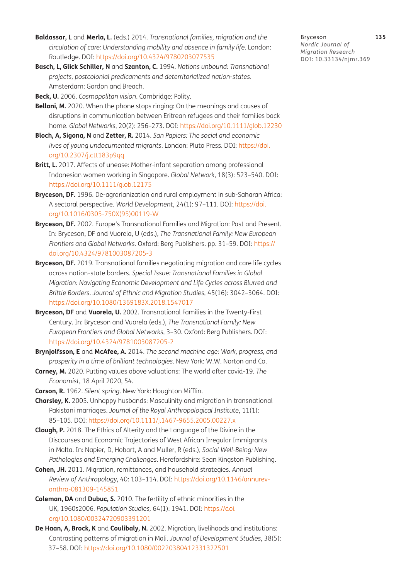- <span id="page-15-8"></span>**Baldassar, L** and **Merla, L.** (eds.) 2014. *Transnational families, migration and the circulation of care: Understanding mobility and absence in family life*. London: Routledge. DOI: <https://doi.org/10.4324/9780203077535>
- <span id="page-15-1"></span>**Basch, L, Glick Schiller, N** and **Szanton, C.** 1994. *Nations unbound: Transnational projects, postcolonial predicaments and deterritorialized nation-states*. Amsterdam: Gordon and Breach.

<span id="page-15-15"></span>**Beck, U.** 2006. *Cosmopolitan vision*. Cambridge: Polity.

- <span id="page-15-5"></span>**Belloni, M.** 2020. When the phone stops ringing: On the meanings and causes of disruptions in communication between Eritrean refugees and their families back home. *Global Networks*, 20(2): 256–273. DOI:<https://doi.org/10.1111/glob.12230>
- <span id="page-15-4"></span>**Bloch, A, Sigona, N** and **Zetter, R.** 2014. *San Papiers: The social and economic lives of young undocumented migrants*. London: Pluto Press. DOI: [https://doi.](https://doi.org/10.2307/j.ctt183p9qq) [org/10.2307/j.ctt183p9qq](https://doi.org/10.2307/j.ctt183p9qq)
- <span id="page-15-9"></span>Britt, L. 2017. Affects of unease: Mother-infant separation among professional Indonesian women working in Singapore. *Global Network*, 18(3): 523–540. DOI: <https://doi.org/10.1111/glob.12175>
- <span id="page-15-11"></span>**Bryceson, DF.** 1996. De-agrarianization and rural employment in sub-Saharan Africa: A sectoral perspective. *World Development*, 24(1): 97–111. DOI: [https://doi.](https://doi.org/10.1016/0305-750X(95)00119-W) [org/10.1016/0305-750X\(95\)00119-W](https://doi.org/10.1016/0305-750X(95)00119-W)
- **Bryceson, DF.** 2002. Europe's Transnational Families and Migration: Past and Present. In: Bryceson, DF and Vuorela, U (eds.), *The Transnational Family: New European Frontiers and Global Networks*. Oxford: Berg Publishers. pp. 31–59. DOI: [https://](https://doi.org/10.4324/9781003087205-3) [doi.org/10.4324/9781003087205-3](https://doi.org/10.4324/9781003087205-3)
- <span id="page-15-2"></span>**Bryceson, DF.** 2019. Transnational families negotiating migration and care life cycles across nation-state borders. *Special Issue: Transnational Families in Global Migration: Navigating Economic Development and Life Cycles across Blurred and Brittle Borders*. *Journal of Ethnic and Migration Studies*, 45(16): 3042–3064. DOI: <https://doi.org/10.1080/1369183X.2018.1547017>
- <span id="page-15-0"></span>**Bryceson, DF** and **Vuorela, U.** 2002. Transnational Families in the Twenty-First Century. In: Bryceson and Vuorela (eds.), *The Transnational Family: New European Frontiers and Global Networks*, 3–30. Oxford: Berg Publishers. DOI: <https://doi.org/10.4324/9781003087205-2>
- <span id="page-15-10"></span>**Brynjolfsson, E** and **McAfee, A.** 2014. *The second machine age: Work, progress, and prosperity in a time of brilliant technologies.* New York: W.W. Norton and Co.
- <span id="page-15-14"></span>**Carney, M.** 2020. Putting values above valuations: The world after covid-19. *The Economist*, 18 April 2020, 54.
- <span id="page-15-12"></span>**Carson, R.** 1962. *Silent spring*. New York: Houghton Mifflin.
- <span id="page-15-13"></span>**Charsley, K.** 2005. Unhappy husbands: Masculinity and migration in transnational Pakistani marriages. *Journal of the Royal Anthropological Institute*, 11(1): 85–105. DOI:<https://doi.org/10.1111/j.1467-9655.2005.00227.x>
- <span id="page-15-6"></span>**Clough, P.** 2018. The Ethics of Alterity and the Language of the Divine in the Discourses and Economic Trajectories of West African Irregular Immigrants in Malta. In: Napier, D, Hobart, A and Muller, R (eds.), *Social Well-Being: New Pathologies and Emerging Challenges*. Herefordshire: Sean Kingston Publishing.
- <span id="page-15-3"></span>**Cohen, JH.** 2011. Migration, remittances, and household strategies. *Annual Review of Anthropology*, 40: 103–114. DOI: [https://doi.org/10.1146/annurev](https://doi.org/10.1146/annurev-anthro-081309-145851)[anthro-081309-145851](https://doi.org/10.1146/annurev-anthro-081309-145851)
- **Coleman, DA** and **Dubuc, S.** 2010. The fertility of ethnic minorities in the UK, 1960s2006. *Population Studies*, 64(1): 1941. DOI: [https://doi.](https://doi.org/10.1080/00324720903391201) [org/10.1080/00324720903391201](https://doi.org/10.1080/00324720903391201)
- <span id="page-15-7"></span>**De Haan, A, Brock, K** and **Coulibaly, N.** 2002. Migration, livelihoods and institutions: Contrasting patterns of migration in Mali. *Journal of Development Studies*, 38(5): 37–58. DOI:<https://doi.org/10.1080/00220380412331322501>

Bryceson **135** *Nordic Journal of Migration Research* DOI: [10.33134/njmr.369](https://doi.org/10.33134/njmr.369)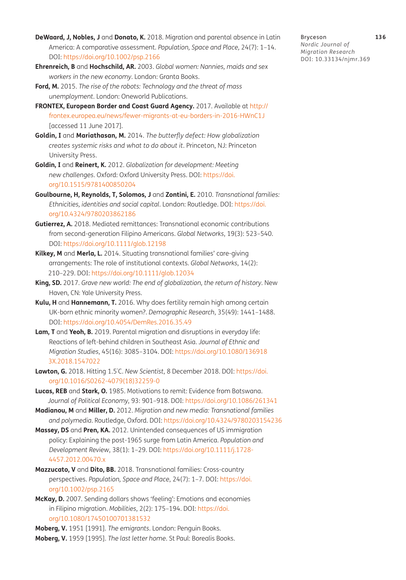- <span id="page-16-7"></span>**DeWaard, J, Nobles, J** and **Donato, K.** 2018. Migration and parental absence in Latin America: A comparative assessment. *Population, Space and Place,* 24(7): 1–14. DOI: <https://doi.org/10.1002/psp.2166>
- <span id="page-16-6"></span>**Ehrenreich, B** and **Hochschild, AR.** 2003. *Global women: Nannies, maids and sex workers in the new economy*. London: Granta Books.
- <span id="page-16-15"></span>**Ford, M.** 2015. *The rise of the robots: Technology and the threat of mass unemployment*. London: Oneworld Publications.
- <span id="page-16-13"></span>**FRONTEX, European Border and Coast Guard Agency.** 2017. Available at [http://](http://frontex.europea.eu/news/fewer-migrants-at-eu-borders-in-2016-HWnC1J) [frontex.europea.eu/news/fewer-migrants-at-eu-borders-in-2016-HWnC1J](http://frontex.europea.eu/news/fewer-migrants-at-eu-borders-in-2016-HWnC1J) [accessed 11 June 2017].
- <span id="page-16-11"></span>**Goldin, I** and **Mariathasan, M.** 2014. *The butterfly defect: How globalization creates systemic risks and what to do about it*. Princeton, NJ: Princeton University Press.
- <span id="page-16-10"></span>**Goldin, I** and **Reinert, K.** 2012. *Globalization for development: Meeting new challenges*. Oxford: Oxford University Press. DOI: [https://doi.](https://doi.org/10.1515/9781400850204) [org/10.1515/9781400850204](https://doi.org/10.1515/9781400850204)
- <span id="page-16-0"></span>**Goulbourne, H, Reynolds, T, Solomos, J** and **Zontini, E.** 2010. *Transnational families: Ethnicities, identities and social capital*. London: Routledge. DOI: [https://doi.](https://doi.org/10.4324/9780203862186) [org/10.4324/9780203862186](https://doi.org/10.4324/9780203862186)
- <span id="page-16-5"></span>**Gutierrez, A.** 2018. Mediated remittances: Transnational economic contributions from second-generation Filipino Americans. *Global Networks*, 19(3): 523–540. DOI: <https://doi.org/10.1111/glob.12198>
- **Kilkey, M** and **Merla, L.** 2014. Situating transnational families' care-giving arrangements: The role of institutional contexts. *Global Networks*, 14(2): 210–229. DOI:<https://doi.org/10.1111/glob.12034>
- <span id="page-16-12"></span>**King, SD.** 2017. *Grave new world: The end of globalization, the return of history*. New Haven, CN: Yale University Press.
- <span id="page-16-16"></span>**Kulu, H** and **Hannemann, T.** 2016. Why does fertility remain high among certain UK-born ethnic minority women?. *Demographic Research*, 35(49): 1441–1488. DOI: <https://doi.org/10.4054/DemRes.2016.35.49>
- <span id="page-16-8"></span>**Lam, T** and **Yeoh, B.** 2019. Parental migration and disruptions in everyday life: Reactions of left-behind children in Southeast Asia. *Journal of Ethnic and Migration Studies*, 45(16): 3085–3104. DOI: [https://doi.org/10.1080/136918](https://doi.org/10.1080/1369183X.2018.1547022) [3X.2018.1547022](https://doi.org/10.1080/1369183X.2018.1547022)
- **Lawton, G.** 2018. Hitting 1.5° C. *New Scientist*, 8 December 2018. DOI: [https://doi.](https://doi.org/10.1016/S0262-4079(18)32259-0) [org/10.1016/S0262-4079\(18\)32259-0](https://doi.org/10.1016/S0262-4079(18)32259-0)
- <span id="page-16-4"></span>**Lucas, REB** and **Stark, O.** 1985. Motivations to remit: Evidence from Botswana. *Journal of Political Economy*, 93: 901–918. DOI: <https://doi.org/10.1086/261341>
- <span id="page-16-14"></span>**Madianou, M** and **Miller, D.** 2012. *Migration and new media: Transnational families and polymedia*. Routledge, Oxford. DOI:<https://doi.org/10.4324/9780203154236>
- <span id="page-16-3"></span>**Massey, DS** and **Pren, KA.** 2012. Unintended consequences of US immigration policy: Explaining the post-1965 surge from Latin America. *Population and Development Review*, 38(1): 1–29. DOI: [https://doi.org/10.1111/j.1728-](https://doi.org/10.1111/j.1728-4457.2012.00470.x) [4457.2012.00470.x](https://doi.org/10.1111/j.1728-4457.2012.00470.x)
- <span id="page-16-9"></span>**Mazzucato, V** and **Dito, BB.** 2018. Transnational families: Cross-country perspectives. *Population, Space and Place*, 24(7): 1–7. DOI: [https://doi.](https://doi.org/10.1002/psp.2165) [org/10.1002/psp.2165](https://doi.org/10.1002/psp.2165)
- **McKay, D.** 2007. Sending dollars shows 'feeling': Emotions and economies in Filipino migration. *Mobilities*, 2(2): 175–194. DOI: [https://doi.](https://doi.org/10.1080/17450100701381532) [org/10.1080/17450100701381532](https://doi.org/10.1080/17450100701381532)

<span id="page-16-2"></span><span id="page-16-1"></span>**Moberg, V.** 1951 [1991]. *The emigrants*. London: Penguin Books. **Moberg, V.** 1959 [1995]. *The last letter home*. St Paul: Borealis Books.

Bryceson **136** *Nordic Journal of Migration Research* DOI: [10.33134/njmr.369](https://doi.org/10.33134/njmr.369)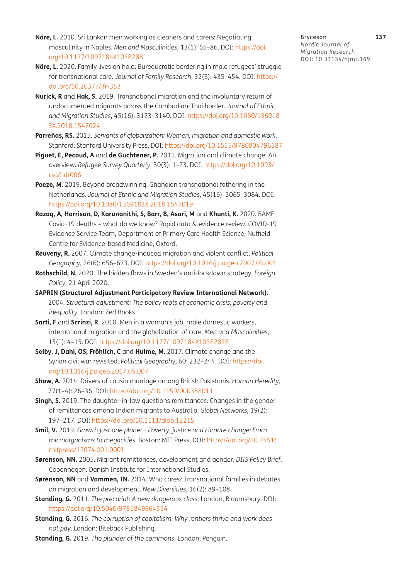- **Näre, L.** 2010. Sri Lankan men working as cleaners and carers: Negotiating masculinity in Naples. *Men and Masculinities*, 13(1): 65–86. DOI: [https://doi.](https://doi.org/10.1177/1097184X10382881) [org/10.1177/1097184X10382881](https://doi.org/10.1177/1097184X10382881)
- **Näre, L.** 2020. Family lives on hold: Bureaucratic bordering in male refugees' struggle for transnational care. *Journal of Family Research*, 32(3): 435–454. DOI: [https://](https://doi.org/10.20377/jfr-353) [doi.org/10.20377/jfr-353](https://doi.org/10.20377/jfr-353)
- <span id="page-17-4"></span>**Nurick, R** and **Hak, S.** 2019. Transnational migration and the involuntary return of undocumented migrants across the Cambodian-Thai border. *Journal of Ethnic and Migration Studies*, 45(16): 3123–3140. DOI: [https://doi.org/10.1080/136918](https://doi.org/10.1080/1369183X.2018.1547024) [3X.2018.1547024](https://doi.org/10.1080/1369183X.2018.1547024)
- **Parreñas, RS.** 2015. *Servants of globalization: Women, migration and domestic work*. Stanford: Stanford University Press. DOI: <https://doi.org/10.1515/9780804796187>
- <span id="page-17-3"></span>**Piguet, E, Pecoud, A** and **de Guchtener, P.** 2011. Migration and climate change: An overview. *Refugee Survey Quarterly*, 30(3): 1–23. DOI: [https://doi.org/10.1093/](https://doi.org/10.1093/rsq/hdr006) [rsq/hdr006](https://doi.org/10.1093/rsq/hdr006)
- <span id="page-17-5"></span>**Poeze, M.** 2019. Beyond breadwinning: Ghanaian transnational fathering in the Netherlands. *Journal of Ethnic and Migration Studies*, 45(16): 3065–3084. DOI: <https://doi.org/10.1080/1369183X.2018.1547019>
- <span id="page-17-10"></span>**Razaq, A, Harrison, D, Karunanithi, S, Barr, B, Asari, M** and **Khunti, K.** 2020. BAME Covid-19 deaths – what do we know? Rapid data & evidence review. COVID-19 Evidence Service Team, Department of Primary Care Health Science, Nuffield Centre for Evidence-based Medicine, Oxford.
- <span id="page-17-7"></span>**Reuveny, R.** 2007. Climate change-induced migration and violent conflict. *Political Geography*, 26(6): 656–673. DOI: <https://doi.org/10.1016/j.polgeo.2007.05.001>
- **Rothschild, N.** 2020. The hidden flaws in Sweden's anti-lockdown strategy. *Foreign Policy*, 21 April 2020.
- <span id="page-17-0"></span>**SAPRIN (Structural Adjustment Participatory Review International Network).** 2004. *Structural adjustment: The policy roots of economic crisis, poverty and inequality*. London: Zed Books.
- **Sarti, F** and **Scrinzi, R.** 2010. Men in a woman's job, male domestic workers, international migration and the globalization of care. *Men and Masculinities*, 13(1): 4–15. DOI:<https://doi.org/10.1177/1097184X10382878>
- **Selby, J, Dahi, OS, Fröhlich, C** and **Hulme, M.** 2017. Climate change and the Syrian civil war revisited. *Political Geography*, 60: 232–244. DOI: [https://doi.](https://doi.org/10.1016/j.polgeo.2017.05.007) [org/10.1016/j.polgeo.2017.05.007](https://doi.org/10.1016/j.polgeo.2017.05.007)
- <span id="page-17-1"></span>**Shaw, A.** 2014. Drivers of cousin marriage among British Pakistanis. *Human Heredity*, 77(1–4): 26–36. DOI:<https://doi.org/10.1159/000358011>
- <span id="page-17-2"></span>**Singh, S.** 2019. The daughter-in-law questions remittances: Changes in the gender of remittances among Indian migrants to Australia. *Global Networks*, 19(2): 197–217. DOI: https://doi.org/10.1111/glob.12215
- <span id="page-17-9"></span>**Smil, V.** 2019. *Growth just one planet - Poverty, justice and climate change: From microorganisms to megacities*. Boston: MIT Press. DOI: [https://doi.org/10.7551/](https://doi.org/10.7551/mitpress/12074.001.0001) [mitpress/12074.001.0001](https://doi.org/10.7551/mitpress/12074.001.0001)
- **Sørenson, NN.** 2005. Migrant remittances, development and gender. *DIIS Policy Brief*, Copenhagen: Danish Institute for International Studies.
- **Sørenson, NN** and **Vammen, IN.** 2014. Who cares? Transnational families in debates on migration and development. *New Diversities*, 16(2): 89–108.
- <span id="page-17-6"></span>**Standing, G.** 2011. *The precariat: A new dangerous class*. London, Bloomsbury. DOI: <https://doi.org/10.5040/9781849664554>
- <span id="page-17-11"></span>**Standing, G.** 2016. *The corruption of capitalism: Why rentiers thrive and work does not pay*. London: Biteback Publishing.
- <span id="page-17-8"></span>**Standing, G.** 2019. *The plunder of the commons*. London: Penguin.

Bryceson **137** *Nordic Journal of Migration Research* DOI: [10.33134/njmr.369](https://doi.org/10.33134/njmr.369)